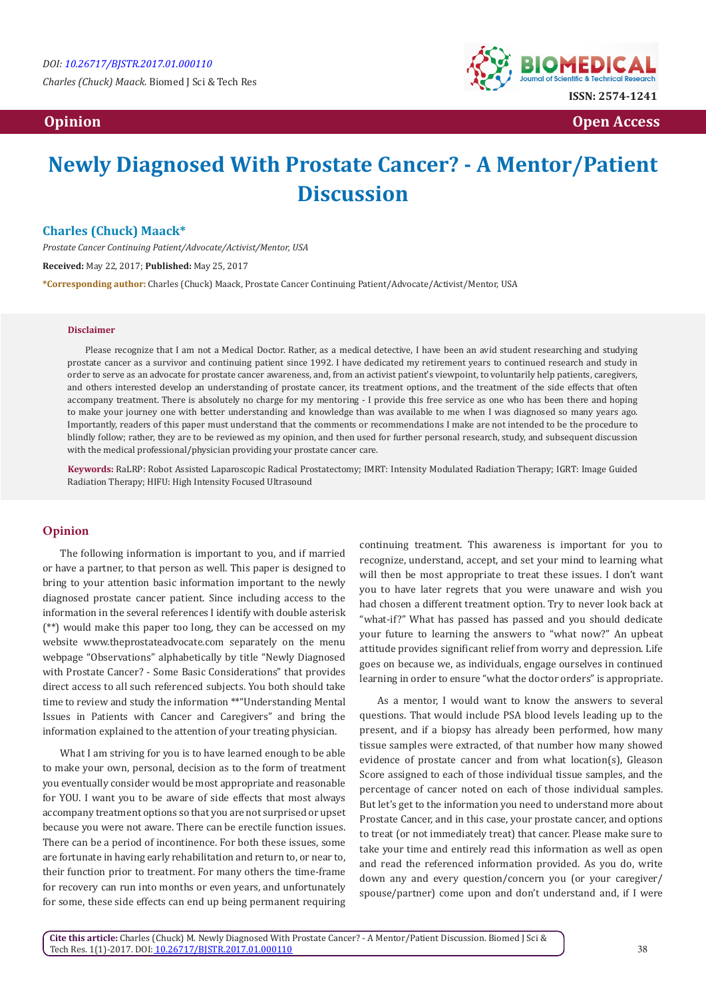

 **Opinion Open Access**

# **Newly Diagnosed With Prostate Cancer? - A Mentor/Patient Discussion**

### **Charles (Chuck) Maack\***

*Prostate Cancer Continuing Patient/Advocate/Activist/Mentor, USA*

**Received:** May 22, 2017; **Published:** May 25, 2017

**\*Corresponding author:** Charles (Chuck) Maack, Prostate Cancer Continuing Patient/Advocate/Activist/Mentor, USA

#### **Disclaimer**

Please recognize that I am not a Medical Doctor. Rather, as a medical detective, I have been an avid student researching and studying prostate cancer as a survivor and continuing patient since 1992. I have dedicated my retirement years to continued research and study in order to serve as an advocate for prostate cancer awareness, and, from an activist patient's viewpoint, to voluntarily help patients, caregivers, and others interested develop an understanding of prostate cancer, its treatment options, and the treatment of the side effects that often accompany treatment. There is absolutely no charge for my mentoring - I provide this free service as one who has been there and hoping to make your journey one with better understanding and knowledge than was available to me when I was diagnosed so many years ago. Importantly, readers of this paper must understand that the comments or recommendations I make are not intended to be the procedure to blindly follow; rather, they are to be reviewed as my opinion, and then used for further personal research, study, and subsequent discussion with the medical professional/physician providing your prostate cancer care.

**Keywords:** RaLRP: Robot Assisted Laparoscopic Radical Prostatectomy; IMRT: Intensity Modulated Radiation Therapy; IGRT: Image Guided Radiation Therapy; HIFU: High Intensity Focused Ultrasound

## **Opinion**

The following information is important to you, and if married or have a partner, to that person as well. This paper is designed to bring to your attention basic information important to the newly diagnosed prostate cancer patient. Since including access to the information in the several references I identify with double asterisk (\*\*) would make this paper too long, they can be accessed on my website www.theprostateadvocate.com separately on the menu webpage "Observations" alphabetically by title "Newly Diagnosed with Prostate Cancer? - Some Basic Considerations" that provides direct access to all such referenced subjects. You both should take time to review and study the information \*\*"Understanding Mental Issues in Patients with Cancer and Caregivers" and bring the information explained to the attention of your treating physician.

What I am striving for you is to have learned enough to be able to make your own, personal, decision as to the form of treatment you eventually consider would be most appropriate and reasonable for YOU. I want you to be aware of side effects that most always accompany treatment options so that you are not surprised or upset because you were not aware. There can be erectile function issues. There can be a period of incontinence. For both these issues, some are fortunate in having early rehabilitation and return to, or near to, their function prior to treatment. For many others the time-frame for recovery can run into months or even years, and unfortunately for some, these side effects can end up being permanent requiring continuing treatment. This awareness is important for you to recognize, understand, accept, and set your mind to learning what will then be most appropriate to treat these issues. I don't want you to have later regrets that you were unaware and wish you had chosen a different treatment option. Try to never look back at "what-if?" What has passed has passed and you should dedicate your future to learning the answers to "what now?" An upbeat attitude provides significant relief from worry and depression. Life goes on because we, as individuals, engage ourselves in continued learning in order to ensure "what the doctor orders" is appropriate.

As a mentor, I would want to know the answers to several questions. That would include PSA blood levels leading up to the present, and if a biopsy has already been performed, how many tissue samples were extracted, of that number how many showed evidence of prostate cancer and from what location(s), Gleason Score assigned to each of those individual tissue samples, and the percentage of cancer noted on each of those individual samples. But let's get to the information you need to understand more about Prostate Cancer, and in this case, your prostate cancer, and options to treat (or not immediately treat) that cancer. Please make sure to take your time and entirely read this information as well as open and read the referenced information provided. As you do, write down any and every question/concern you (or your caregiver/ spouse/partner) come upon and don't understand and, if I were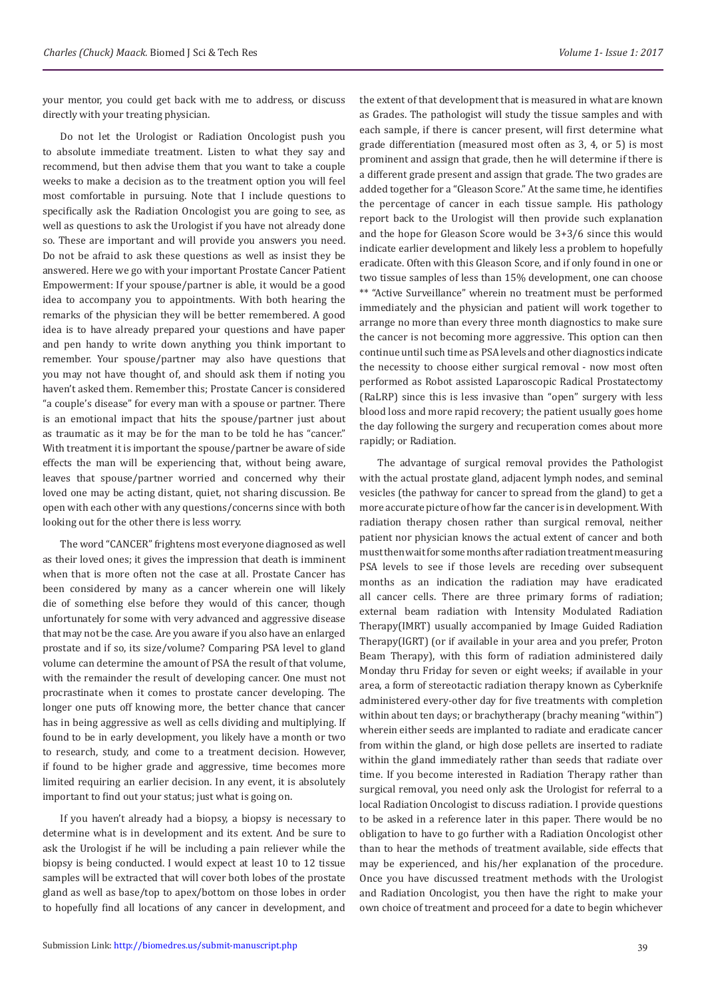your mentor, you could get back with me to address, or discuss directly with your treating physician.

Do not let the Urologist or Radiation Oncologist push you to absolute immediate treatment. Listen to what they say and recommend, but then advise them that you want to take a couple weeks to make a decision as to the treatment option you will feel most comfortable in pursuing. Note that I include questions to specifically ask the Radiation Oncologist you are going to see, as well as questions to ask the Urologist if you have not already done so. These are important and will provide you answers you need. Do not be afraid to ask these questions as well as insist they be answered. Here we go with your important Prostate Cancer Patient Empowerment: If your spouse/partner is able, it would be a good idea to accompany you to appointments. With both hearing the remarks of the physician they will be better remembered. A good idea is to have already prepared your questions and have paper and pen handy to write down anything you think important to remember. Your spouse/partner may also have questions that you may not have thought of, and should ask them if noting you haven't asked them. Remember this; Prostate Cancer is considered "a couple's disease" for every man with a spouse or partner. There is an emotional impact that hits the spouse/partner just about as traumatic as it may be for the man to be told he has "cancer." With treatment it is important the spouse/partner be aware of side effects the man will be experiencing that, without being aware, leaves that spouse/partner worried and concerned why their loved one may be acting distant, quiet, not sharing discussion. Be open with each other with any questions/concerns since with both looking out for the other there is less worry.

The word "CANCER" frightens most everyone diagnosed as well as their loved ones; it gives the impression that death is imminent when that is more often not the case at all. Prostate Cancer has been considered by many as a cancer wherein one will likely die of something else before they would of this cancer, though unfortunately for some with very advanced and aggressive disease that may not be the case. Are you aware if you also have an enlarged prostate and if so, its size/volume? Comparing PSA level to gland volume can determine the amount of PSA the result of that volume, with the remainder the result of developing cancer. One must not procrastinate when it comes to prostate cancer developing. The longer one puts off knowing more, the better chance that cancer has in being aggressive as well as cells dividing and multiplying. If found to be in early development, you likely have a month or two to research, study, and come to a treatment decision. However, if found to be higher grade and aggressive, time becomes more limited requiring an earlier decision. In any event, it is absolutely important to find out your status; just what is going on.

If you haven't already had a biopsy, a biopsy is necessary to determine what is in development and its extent. And be sure to ask the Urologist if he will be including a pain reliever while the biopsy is being conducted. I would expect at least 10 to 12 tissue samples will be extracted that will cover both lobes of the prostate gland as well as base/top to apex/bottom on those lobes in order to hopefully find all locations of any cancer in development, and

the extent of that development that is measured in what are known as Grades. The pathologist will study the tissue samples and with each sample, if there is cancer present, will first determine what grade differentiation (measured most often as 3, 4, or 5) is most prominent and assign that grade, then he will determine if there is a different grade present and assign that grade. The two grades are added together for a "Gleason Score." At the same time, he identifies the percentage of cancer in each tissue sample. His pathology report back to the Urologist will then provide such explanation and the hope for Gleason Score would be 3+3/6 since this would indicate earlier development and likely less a problem to hopefully eradicate. Often with this Gleason Score, and if only found in one or two tissue samples of less than 15% development, one can choose \*\* "Active Surveillance" wherein no treatment must be performed immediately and the physician and patient will work together to arrange no more than every three month diagnostics to make sure the cancer is not becoming more aggressive. This option can then continue until such time as PSA levels and other diagnostics indicate the necessity to choose either surgical removal - now most often performed as Robot assisted Laparoscopic Radical Prostatectomy (RaLRP) since this is less invasive than "open" surgery with less blood loss and more rapid recovery; the patient usually goes home the day following the surgery and recuperation comes about more rapidly; or Radiation.

The advantage of surgical removal provides the Pathologist with the actual prostate gland, adjacent lymph nodes, and seminal vesicles (the pathway for cancer to spread from the gland) to get a more accurate picture of how far the cancer is in development. With radiation therapy chosen rather than surgical removal, neither patient nor physician knows the actual extent of cancer and both must then wait for some months after radiation treatment measuring PSA levels to see if those levels are receding over subsequent months as an indication the radiation may have eradicated all cancer cells. There are three primary forms of radiation; external beam radiation with Intensity Modulated Radiation Therapy(IMRT) usually accompanied by Image Guided Radiation Therapy(IGRT) (or if available in your area and you prefer, Proton Beam Therapy), with this form of radiation administered daily Monday thru Friday for seven or eight weeks; if available in your area, a form of stereotactic radiation therapy known as Cyberknife administered every-other day for five treatments with completion within about ten days; or brachytherapy (brachy meaning "within") wherein either seeds are implanted to radiate and eradicate cancer from within the gland, or high dose pellets are inserted to radiate within the gland immediately rather than seeds that radiate over time. If you become interested in Radiation Therapy rather than surgical removal, you need only ask the Urologist for referral to a local Radiation Oncologist to discuss radiation. I provide questions to be asked in a reference later in this paper. There would be no obligation to have to go further with a Radiation Oncologist other than to hear the methods of treatment available, side effects that may be experienced, and his/her explanation of the procedure. Once you have discussed treatment methods with the Urologist and Radiation Oncologist, you then have the right to make your own choice of treatment and proceed for a date to begin whichever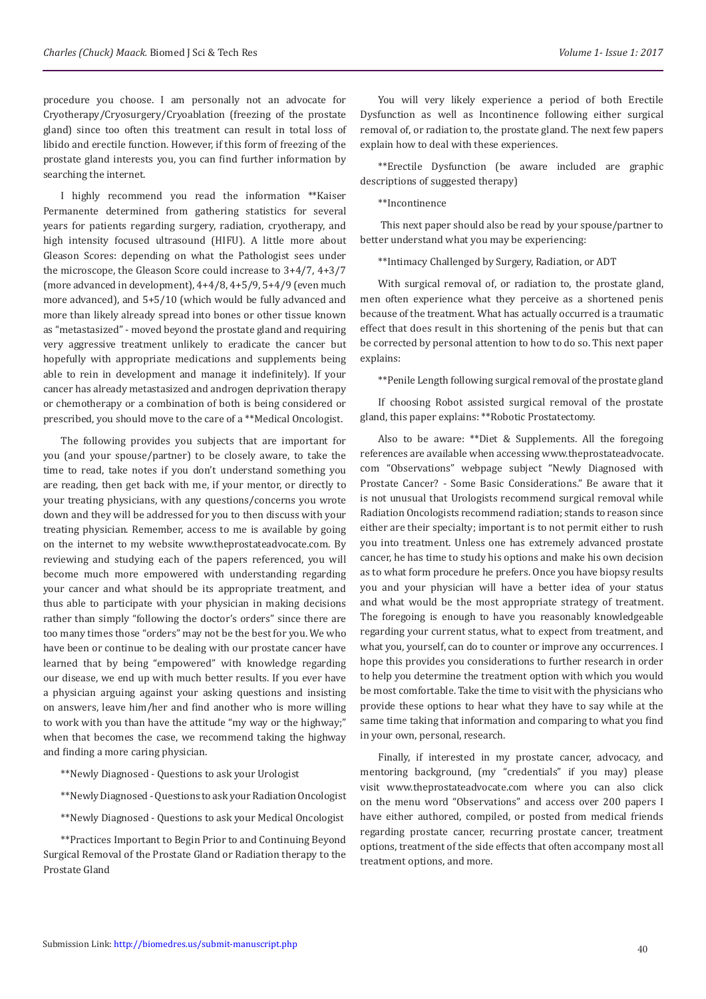procedure you choose. I am personally not an advocate for Cryotherapy/Cryosurgery/Cryoablation (freezing of the prostate gland) since too often this treatment can result in total loss of libido and erectile function. However, if this form of freezing of the prostate gland interests you, you can find further information by searching the internet.

I highly recommend you read the information \*\*Kaiser Permanente determined from gathering statistics for several years for patients regarding surgery, radiation, cryotherapy, and high intensity focused ultrasound (HIFU). A little more about Gleason Scores: depending on what the Pathologist sees under the microscope, the Gleason Score could increase to 3+4/7, 4+3/7 (more advanced in development), 4+4/8, 4+5/9, 5+4/9 (even much more advanced), and 5+5/10 (which would be fully advanced and more than likely already spread into bones or other tissue known as "metastasized" - moved beyond the prostate gland and requiring very aggressive treatment unlikely to eradicate the cancer but hopefully with appropriate medications and supplements being able to rein in development and manage it indefinitely). If your cancer has already metastasized and androgen deprivation therapy or chemotherapy or a combination of both is being considered or prescribed, you should move to the care of a \*\*Medical Oncologist.

The following provides you subjects that are important for you (and your spouse/partner) to be closely aware, to take the time to read, take notes if you don't understand something you are reading, then get back with me, if your mentor, or directly to your treating physicians, with any questions/concerns you wrote down and they will be addressed for you to then discuss with your treating physician. Remember, access to me is available by going on the internet to my website www.theprostateadvocate.com. By reviewing and studying each of the papers referenced, you will become much more empowered with understanding regarding your cancer and what should be its appropriate treatment, and thus able to participate with your physician in making decisions rather than simply "following the doctor's orders" since there are too many times those "orders" may not be the best for you. We who have been or continue to be dealing with our prostate cancer have learned that by being "empowered" with knowledge regarding our disease, we end up with much better results. If you ever have a physician arguing against your asking questions and insisting on answers, leave him/her and find another who is more willing to work with you than have the attitude "my way or the highway;" when that becomes the case, we recommend taking the highway and finding a more caring physician.

\*\*Newly Diagnosed - Questions to ask your Urologist

\*\*Newly Diagnosed - Questions to ask your Radiation Oncologist

\*\*Newly Diagnosed - Questions to ask your Medical Oncologist

\*\*Practices Important to Begin Prior to and Continuing Beyond Surgical Removal of the Prostate Gland or Radiation therapy to the Prostate Gland

You will very likely experience a period of both Erectile Dysfunction as well as Incontinence following either surgical removal of, or radiation to, the prostate gland. The next few papers explain how to deal with these experiences.

\*\*Erectile Dysfunction (be aware included are graphic descriptions of suggested therapy)

#### \*\*Incontinence

 This next paper should also be read by your spouse/partner to better understand what you may be experiencing:

\*\*Intimacy Challenged by Surgery, Radiation, or ADT

With surgical removal of, or radiation to, the prostate gland, men often experience what they perceive as a shortened penis because of the treatment. What has actually occurred is a traumatic effect that does result in this shortening of the penis but that can be corrected by personal attention to how to do so. This next paper explains:

\*\*Penile Length following surgical removal of the prostate gland

If choosing Robot assisted surgical removal of the prostate gland, this paper explains: \*\*Robotic Prostatectomy.

Also to be aware: \*\*Diet & Supplements. All the foregoing references are available when accessing www.theprostateadvocate. com "Observations" webpage subject "Newly Diagnosed with Prostate Cancer? - Some Basic Considerations." Be aware that it is not unusual that Urologists recommend surgical removal while Radiation Oncologists recommend radiation; stands to reason since either are their specialty; important is to not permit either to rush you into treatment. Unless one has extremely advanced prostate cancer, he has time to study his options and make his own decision as to what form procedure he prefers. Once you have biopsy results you and your physician will have a better idea of your status and what would be the most appropriate strategy of treatment. The foregoing is enough to have you reasonably knowledgeable regarding your current status, what to expect from treatment, and what you, yourself, can do to counter or improve any occurrences. I hope this provides you considerations to further research in order to help you determine the treatment option with which you would be most comfortable. Take the time to visit with the physicians who provide these options to hear what they have to say while at the same time taking that information and comparing to what you find in your own, personal, research.

Finally, if interested in my prostate cancer, advocacy, and mentoring background, (my "credentials" if you may) please visit <www.theprostateadvocate.com> where you can also click on the menu word "Observations" and access over 200 papers I have either authored, compiled, or posted from medical friends regarding prostate cancer, recurring prostate cancer, treatment options, treatment of the side effects that often accompany most all treatment options, and more.